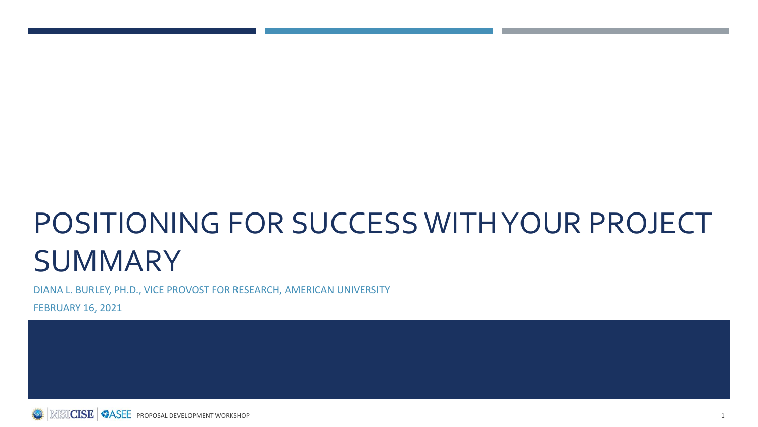# POSITIONING FOR SUCCESS WITH YOUR PROJECT **SUMMARY**

DIANA L. BURLEY, PH.D., VICE PROVOST FOR RESEARCH, AMERICAN UNIVERSITY

FEBRUARY 16, 2021

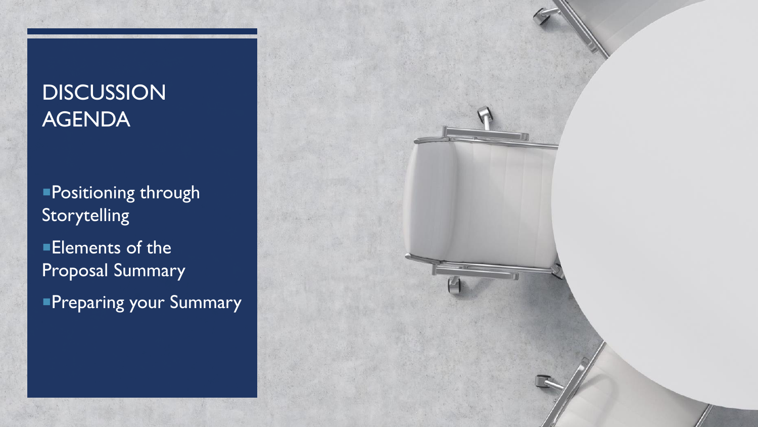## **DISCUSSION** AGENDA

Positioning through Storytelling **Elements of the** Proposal Summary **Preparing your Summary** 

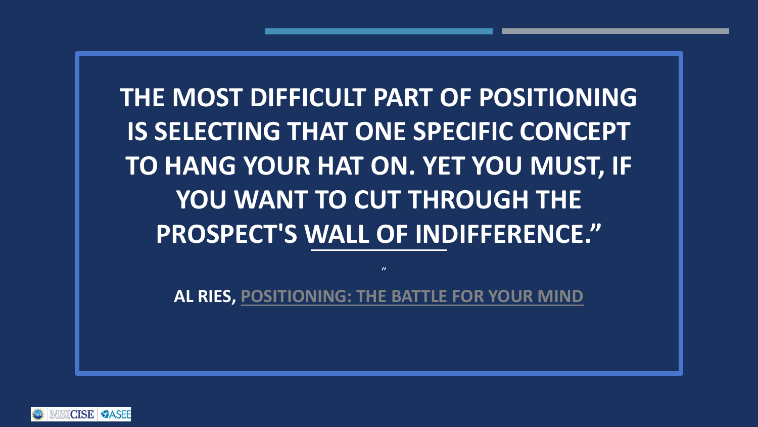**THE MOST DIFFICULT PART OF POSITIONING IS SELECTING THAT ONE SPECIFIC CONCEPT TO HANG YOUR HAT ON. YET YOU MUST, IF YOU WANT TO CUT THROUGH THE PROSPECT'S WALL OF INDIFFERENCE."**

**AL RIES, [POSITIONING: THE BATTLE FOR YOUR MIND](https://www.goodreads.com/work/quotes/746122)**

 $\mathbf{u}$ 

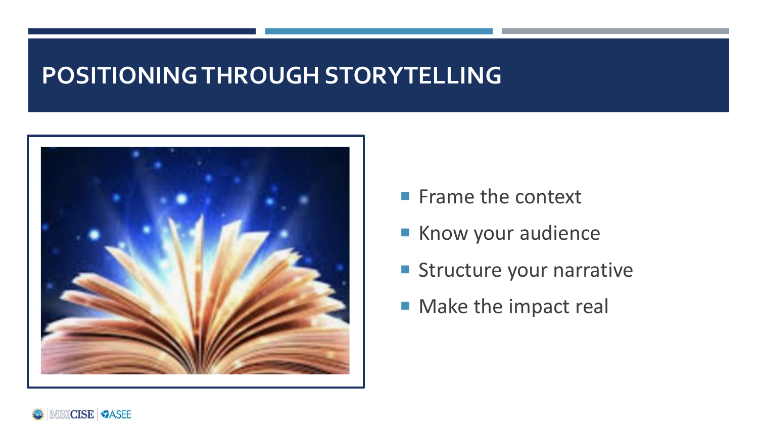### **POSITIONING THROUGH STORYTELLING**



- **Frame the context**
- Know your audience
- Structure your narrative
- **Make the impact real**

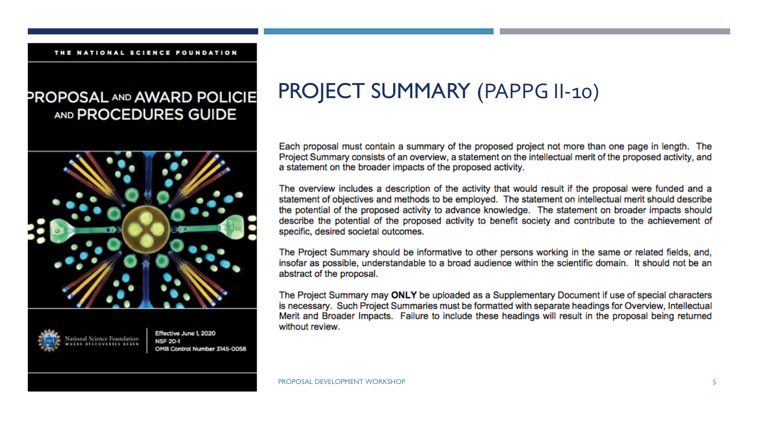#### THE NATIONAL SCIENCE FOUNDATION

#### PROPOSAL AND AWARD POLICIE AND PROCEDURES GUIDE





Effective June 1, 2020 **NSF 20-1** OMB Control Number 3145-0058

### PROJECT SUMMARY (PAPPG II-10)

Each proposal must contain a summary of the proposed project not more than one page in length. The Project Summary consists of an overview, a statement on the intellectual merit of the proposed activity, and a statement on the broader impacts of the proposed activity.

The overview includes a description of the activity that would result if the proposal were funded and a statement of objectives and methods to be employed. The statement on intellectual merit should describe the potential of the proposed activity to advance knowledge. The statement on broader impacts should describe the potential of the proposed activity to benefit society and contribute to the achievement of specific, desired societal outcomes.

The Project Summary should be informative to other persons working in the same or related fields, and, insofar as possible, understandable to a broad audience within the scientific domain. It should not be an abstract of the proposal.

The Project Summary may ONLY be uploaded as a Supplementary Document if use of special characters is necessary. Such Project Summaries must be formatted with separate headings for Overview, Intellectual Merit and Broader Impacts. Failure to include these headings will result in the proposal being returned without review.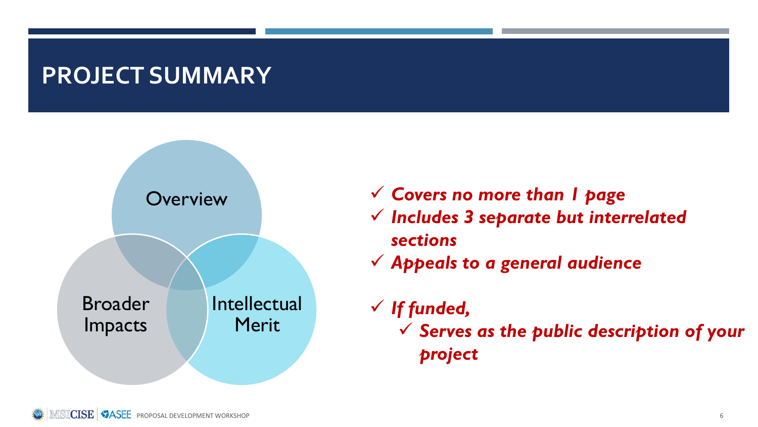### **PROJECT SUMMARY**



- ✓ *Covers no more than 1 page*
- ✓ *Includes 3 separate but interrelated sections*
- ✓ *Appeals to a general audience*
- ✓ *If funded,*  ✓ *Serves as the public description of your project*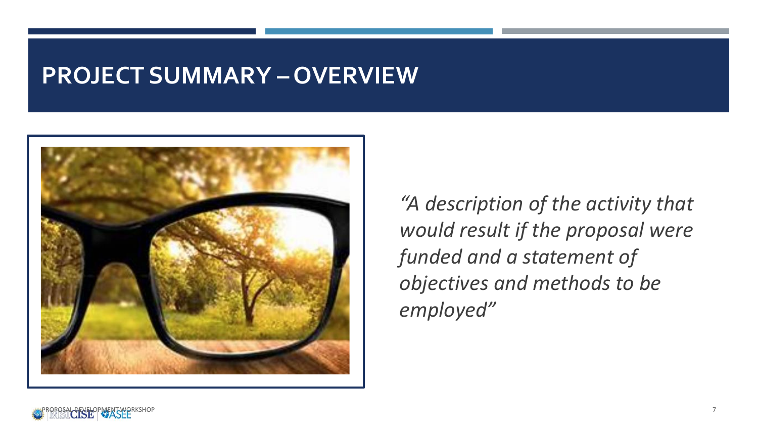### **PROJECT SUMMARY – OVERVIEW**



*"A description of the activity that would result if the proposal were funded and a statement of objectives and methods to be employed"*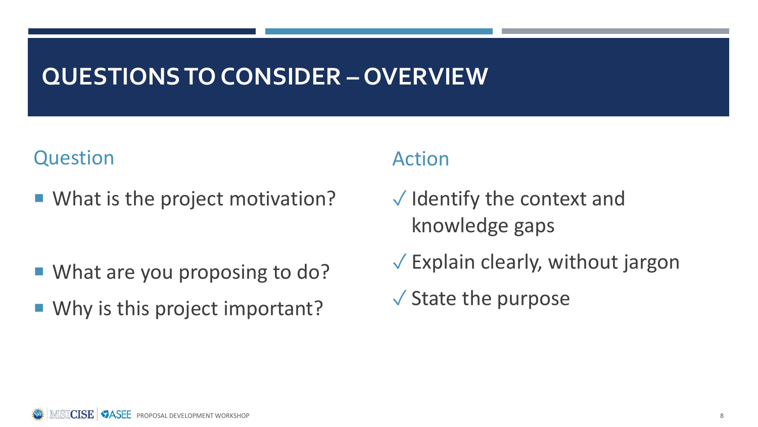### **QUESTIONS TO CONSIDER – OVERVIEW**

### Question

■ What is the project motivation?

- What are you proposing to do?
- Why is this project important?

- $\sqrt{}$  Identify the context and knowledge gaps
- $\sqrt{\frac{1}{2}}$  Explain clearly, without jargon
- $\sqrt{\ }$  State the purpose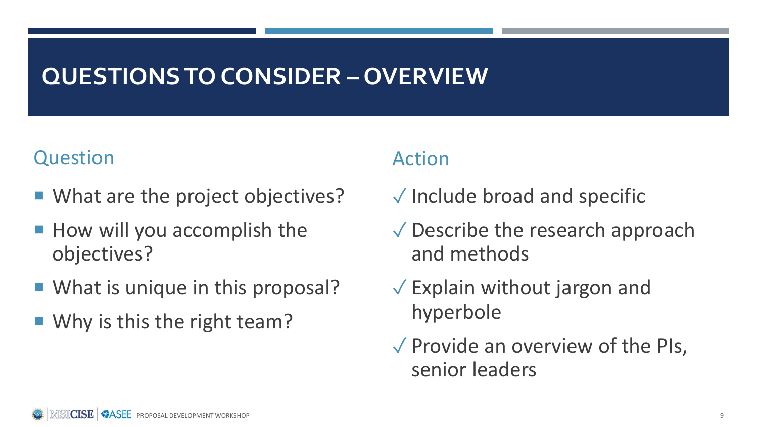### **QUESTIONS TO CONSIDER – OVERVIEW**

#### Question

- What are the project objectives?
- How will you accomplish the objectives?
- What is unique in this proposal?
- Why is this the right team?

- ✓ Include broad and specific
- ✓ Describe the research approach and methods
- $\sqrt{\frac{1}{2}}$  Explain without jargon and hyperbole
- $\sqrt{\frac{1}{2}}$  Provide an overview of the PIs, senior leaders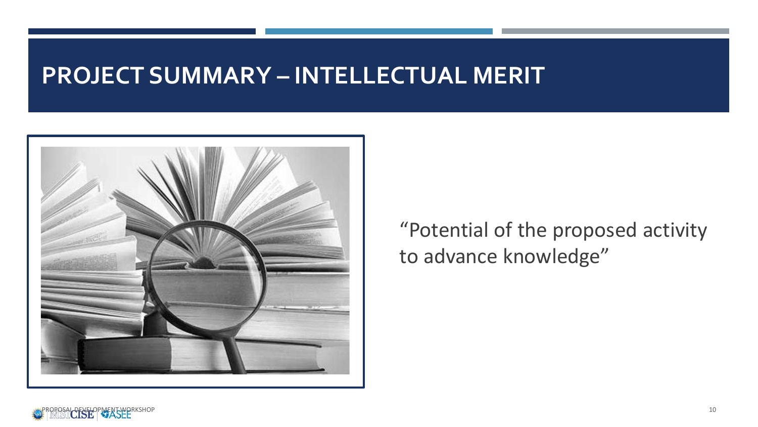### **PROJECT SUMMARY – INTELLECTUAL MERIT**



"Potential of the proposed activity to advance knowledge"

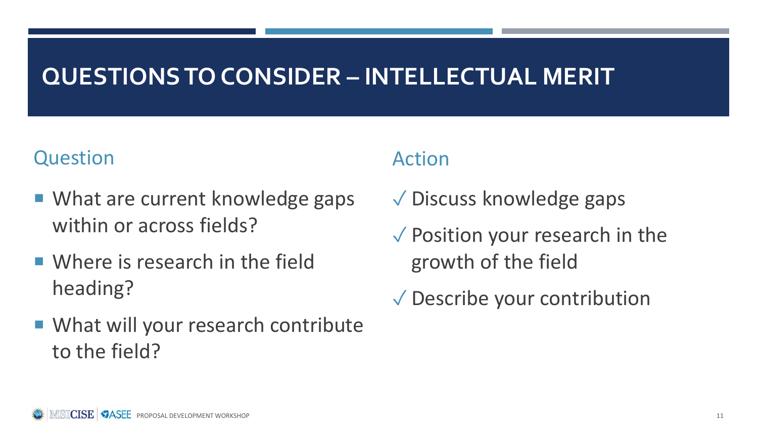## **QUESTIONS TO CONSIDER – INTELLECTUAL MERIT**

#### Question

- What are current knowledge gaps within or across fields?
- **Number 19 Where is research in the field** heading?
- What will your research contribute to the field?

- ✓ Discuss knowledge gaps
- $\sqrt{\ }$  Position your research in the growth of the field
- ✓ Describe your contribution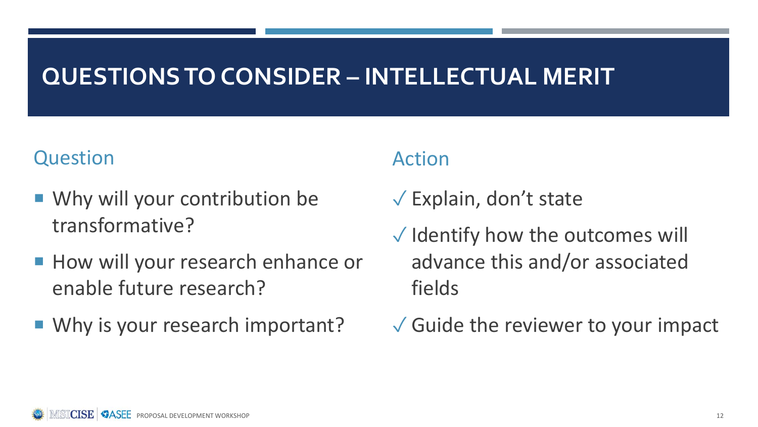## **QUESTIONS TO CONSIDER – INTELLECTUAL MERIT**

#### Question

- Why will your contribution be transformative?
- **How will your research enhance or** enable future research?
- Why is your research important?

- $\sqrt{\frac{1}{2}}$  Explain, don't state
- $\sqrt{}$  Identify how the outcomes will advance this and/or associated fields
- $\sqrt{\frac{1}{2}}$  Guide the reviewer to your impact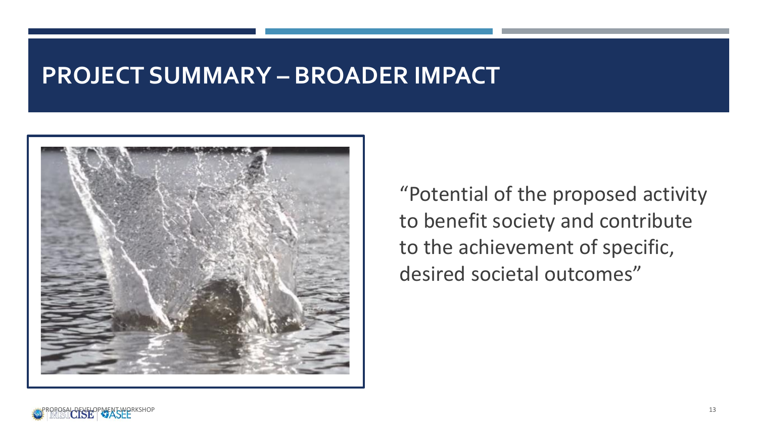### **PROJECT SUMMARY – BROADER IMPACT**



"Potential of the proposed activity to benefit society and contribute to the achievement of specific, desired societal outcomes"

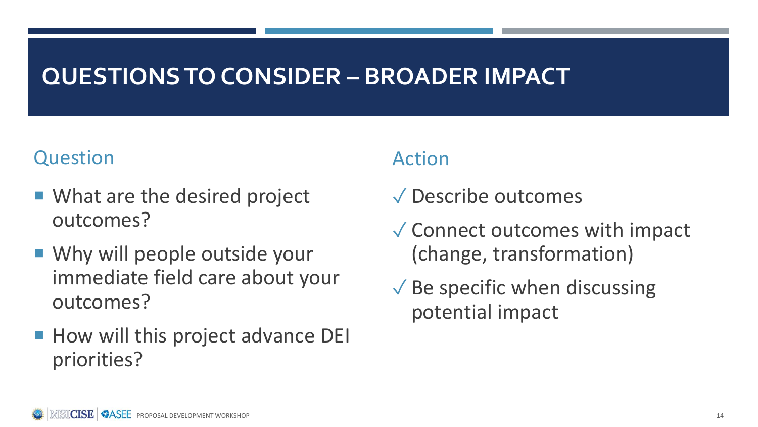## **QUESTIONS TO CONSIDER – BROADER IMPACT**

#### Question

- What are the desired project outcomes?
- Why will people outside your immediate field care about your outcomes?
- How will this project advance DEI priorities?

- ✓ Describe outcomes
- ✓ Connect outcomes with impact (change, transformation)
- $\sqrt{\ }$  Be specific when discussing potential impact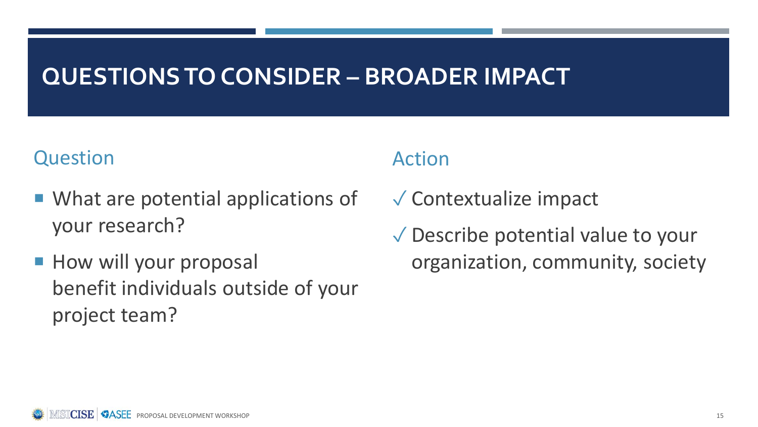### **QUESTIONS TO CONSIDER – BROADER IMPACT**

#### Question

- What are potential applications of your research?
- **How will your proposal** benefit individuals outside of your project team?

- ✓ Contextualize impact
- ✓ Describe potential value to your organization, community, society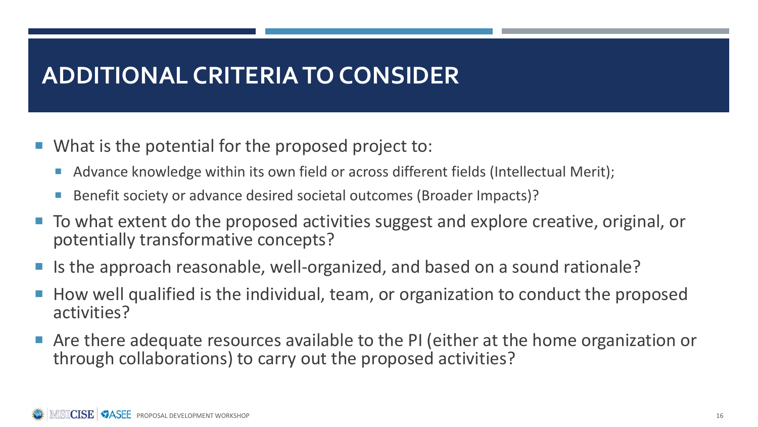### **ADDITIONAL CRITERIA TO CONSIDER**

- What is the potential for the proposed project to:
	- Advance knowledge within its own field or across different fields (Intellectual Merit);
	- Benefit society or advance desired societal outcomes (Broader Impacts)?
- To what extent do the proposed activities suggest and explore creative, original, or potentially transformative concepts?
- Is the approach reasonable, well-organized, and based on a sound rationale?
- How well qualified is the individual, team, or organization to conduct the proposed activities?
- Are there adequate resources available to the PI (either at the home organization or through collaborations) to carry out the proposed activities?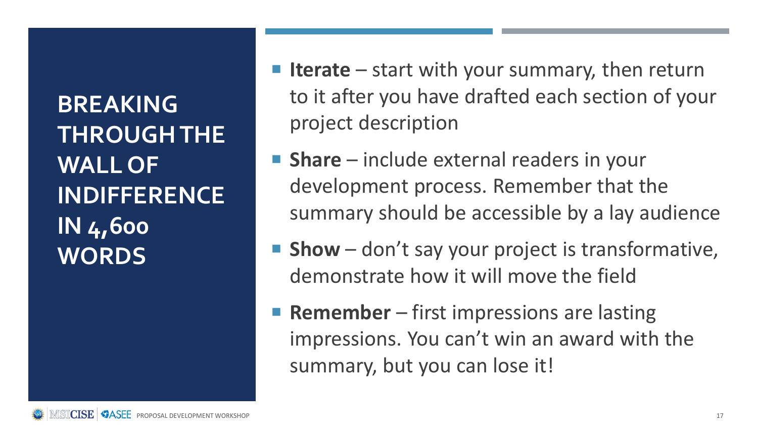**BREAKING THROUGH THE WALL OF INDIFFERENCE IN 4,600 WORDS**

- **Ifferate** start with your summary, then return to it after you have drafted each section of your project description
- **Share** include external readers in your development process. Remember that the summary should be accessible by a lay audience
- **Show** don't say your project is transformative, demonstrate how it will move the field
- **Remember** first impressions are lasting impressions. You can't win an award with the summary, but you can lose it!